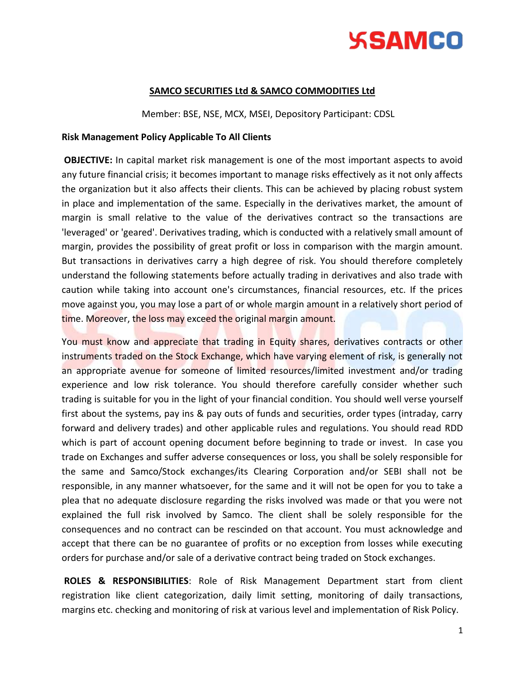

### **SAMCO SECURITIES Ltd & SAMCO COMMODITIES Ltd**

Member: BSE, NSE, MCX, MSEI, Depository Participant: CDSL

#### **Risk Management Policy Applicable To All Clients**

**OBJECTIVE:** In capital market risk management is one of the most important aspects to avoid any future financial crisis; it becomes important to manage risks effectively as it not only affects the organization but it also affects their clients. This can be achieved by placing robust system in place and implementation of the same. Especially in the derivatives market, the amount of margin is small relative to the value of the derivatives contract so the transactions are 'leveraged' or 'geared'. Derivatives trading, which is conducted with a relatively small amount of margin, provides the possibility of great profit or loss in comparison with the margin amount. But transactions in derivatives carry a high degree of risk. You should therefore completely understand the following statements before actually trading in derivatives and also trade with caution while taking into account one's circumstances, financial resources, etc. If the prices move against you, you may lose a part of or whole margin amount in a relatively short period of time. Moreover, the loss may exceed the original margin amount.

You must know and appreciate that trading in Equity shares, derivatives contracts or other instruments traded on the Stock Exchange, which have varying element of risk, is generally not an appropriate avenue for someone of limited resources/limited investment and/or trading experience and low risk tolerance. You should therefore carefully consider whether such trading is suitable for you in the light of your financial condition. You should well verse yourself first about the systems, pay ins & pay outs of funds and securities, order types (intraday, carry forward and delivery trades) and other applicable rules and regulations. You should read RDD which is part of account opening document before beginning to trade or invest. In case you trade on Exchanges and suffer adverse consequences or loss, you shall be solely responsible for the same and Samco/Stock exchanges/its Clearing Corporation and/or SEBI shall not be responsible, in any manner whatsoever, for the same and it will not be open for you to take a plea that no adequate disclosure regarding the risks involved was made or that you were not explained the full risk involved by Samco. The client shall be solely responsible for the consequences and no contract can be rescinded on that account. You must acknowledge and accept that there can be no guarantee of profits or no exception from losses while executing orders for purchase and/or sale of a derivative contract being traded on Stock exchanges.

**ROLES & RESPONSIBILITIES**: Role of Risk Management Department start from client registration like client categorization, daily limit setting, monitoring of daily transactions, margins etc. checking and monitoring of risk at various level and implementation of Risk Policy.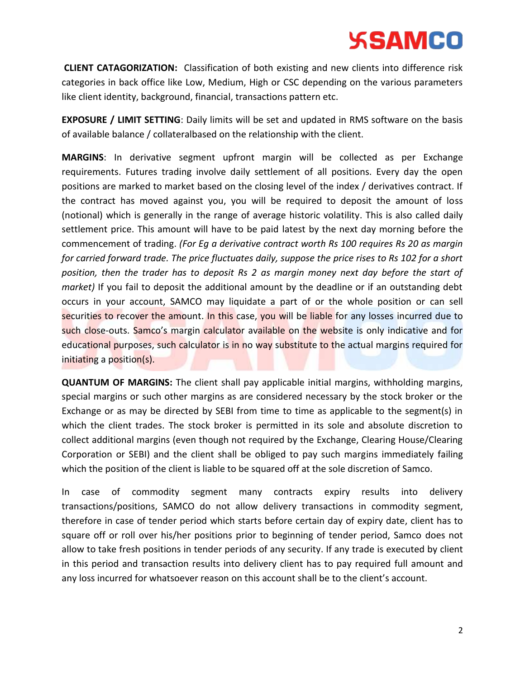**CLIENT CATAGORIZATION:** Classification of both existing and new clients into difference risk categories in back office like Low, Medium, High or CSC depending on the various parameters like client identity, background, financial, transactions pattern etc.

**EXPOSURE / LIMIT SETTING**: Daily limits will be set and updated in RMS software on the basis of available balance / collateralbased on the relationship with the client. .

**MARGINS**: In derivative segment upfront margin will be collected as per Exchange requirements. Futures trading involve daily settlement of all positions. Every day the open positions are marked to market based on the closing level of the index / derivatives contract. If the contract has moved against you, you will be required to deposit the amount of loss (notional) which is generally in the range of average historic volatility. This is also called daily settlement price. This amount will have to be paid latest by the next day morning before the commencement of trading. *(For Eg a derivative contract worth Rs 100 requires Rs 20 as margin for carried forward trade. The price fluctuates daily, suppose the price rises to Rs 102 for a short position, then the trader has to deposit Rs 2 as margin money next day before the start of market)* If you fail to deposit the additional amount by the deadline or if an outstanding debt occurs in your account, SAMCO may liquidate a part of or the whole position or can sell securities to recover the amount. In this case, you will be liable for any losses incurred due to such close-outs. Samco's margin calculator available on the website is only indicative and for educational purposes, such calculator is in no way substitute to the actual margins required for initiating a position(s).

**QUANTUM OF MARGINS:** The client shall pay applicable initial margins, withholding margins, special margins or such other margins as are considered necessary by the stock broker or the Exchange or as may be directed by SEBI from time to time as applicable to the segment(s) in which the client trades. The stock broker is permitted in its sole and absolute discretion to collect additional margins (even though not required by the Exchange, Clearing House/Clearing Corporation or SEBI) and the client shall be obliged to pay such margins immediately failing which the position of the client is liable to be squared off at the sole discretion of Samco.

In case of commodity segment many contracts expiry results into delivery transactions/positions, SAMCO do not allow delivery transactions in commodity segment, therefore in case of tender period which starts before certain day of expiry date, client has to square off or roll over his/her positions prior to beginning of tender period, Samco does not allow to take fresh positions in tender periods of any security. If any trade is executed by client in this period and transaction results into delivery client has to pay required full amount and any loss incurred for whatsoever reason on this account shall be to the client's account.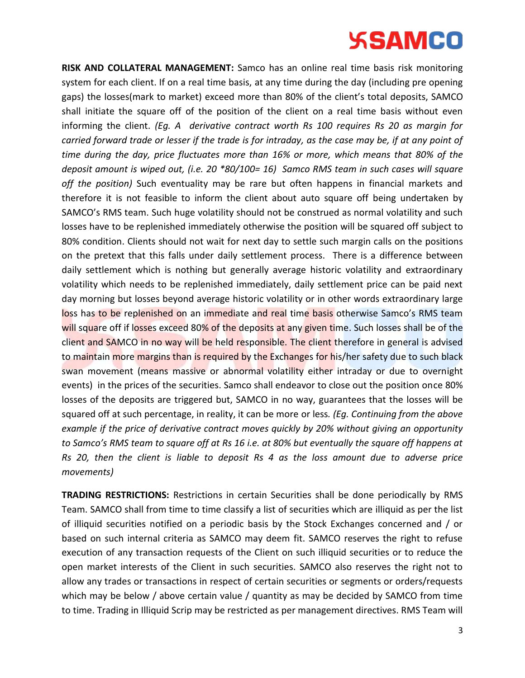**RISK AND COLLATERAL MANAGEMENT:** Samco has an online real time basis risk monitoring system for each client. If on a real time basis, at any time during the day (including pre opening gaps) the losses(mark to market) exceed more than 80% of the client's total deposits, SAMCO shall initiate the square off of the position of the client on a real time basis without even informing the client. *(Eg. A derivative contract worth Rs 100 requires Rs 20 as margin for carried forward trade or lesser if the trade is for intraday, as the case may be, if at any point of time during the day, price fluctuates more than 16% or more, which means that 80% of the deposit amount is wiped out, (i.e. 20 \*80/100= 16) Samco RMS team in such cases will square off the position)* Such eventuality may be rare but often happens in financial markets and therefore it is not feasible to inform the client about auto square off being undertaken by SAMCO's RMS team. Such huge volatility should not be construed as normal volatility and such losses have to be replenished immediately otherwise the position will be squared off subject to 80% condition. Clients should not wait for next day to settle such margin calls on the positions on the pretext that this falls under daily settlement process. There is a difference between daily settlement which is nothing but generally average historic volatility and extraordinary volatility which needs to be replenished immediately, daily settlement price can be paid next day morning but losses beyond average historic volatility or in other words extraordinary large loss has to be replenished on an immediate and real time basis otherwise Samco's RMS team will square off if losses exceed 80% of the deposits at any given time. Such losses shall be of the client and SAMCO in no way will be held responsible. The client therefore in general is advised to maintain more margins than is required by the Exchanges for his/her safety due to such black swan movement (means massive or abnormal volatility either intraday or due to overnight events) in the prices of the securities. Samco shall endeavor to close out the position once 80% losses of the deposits are triggered but, SAMCO in no way, guarantees that the losses will be squared off at such percentage, in reality, it can be more or less*. (Eg. Continuing from the above example if the price of derivative contract moves quickly by 20% without giving an opportunity to Samco's RMS team to square off at Rs 16 i.e. at 80% but eventually the square off happens at Rs 20, then the client is liable to deposit Rs 4 as the loss amount due to adverse price movements)* 

**TRADING RESTRICTIONS:** Restrictions in certain Securities shall be done periodically by RMS Team. SAMCO shall from time to time classify a list of securities which are illiquid as per the list of illiquid securities notified on a periodic basis by the Stock Exchanges concerned and / or based on such internal criteria as SAMCO may deem fit. SAMCO reserves the right to refuse execution of any transaction requests of the Client on such illiquid securities or to reduce the open market interests of the Client in such securities. SAMCO also reserves the right not to allow any trades or transactions in respect of certain securities or segments or orders/requests which may be below / above certain value / quantity as may be decided by SAMCO from time to time. Trading in Illiquid Scrip may be restricted as per management directives. RMS Team will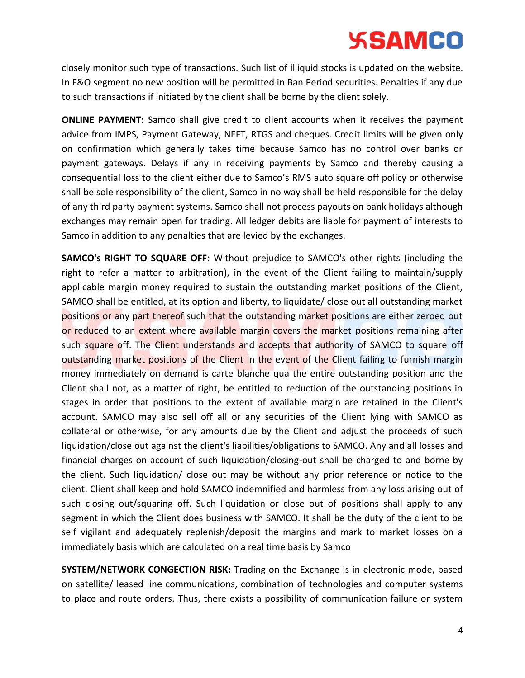closely monitor such type of transactions. Such list of illiquid stocks is updated on the website. In F&O segment no new position will be permitted in Ban Period securities. Penalties if any due to such transactions if initiated by the client shall be borne by the client solely.

**ONLINE PAYMENT:** Samco shall give credit to client accounts when it receives the payment advice from IMPS, Payment Gateway, NEFT, RTGS and cheques. Credit limits will be given only on confirmation which generally takes time because Samco has no control over banks or payment gateways. Delays if any in receiving payments by Samco and thereby causing a consequential loss to the client either due to Samco's RMS auto square off policy or otherwise shall be sole responsibility of the client, Samco in no way shall be held responsible for the delay of any third party payment systems. Samco shall not process payouts on bank holidays although exchanges may remain open for trading. All ledger debits are liable for payment of interests to Samco in addition to any penalties that are levied by the exchanges.

**SAMCO's RIGHT TO SQUARE OFF:** Without prejudice to SAMCO's other rights (including the right to refer a matter to arbitration), in the event of the Client failing to maintain/supply applicable margin money required to sustain the outstanding market positions of the Client, SAMCO shall be entitled, at its option and liberty, to liquidate/ close out all outstanding market positions or any part thereof such that the outstanding market positions are either zeroed out or reduced to an extent where available margin covers the market positions remaining after such square off. The Client understands and accepts that authority of SAMCO to square off outstanding market positions of the Client in the event of the Client failing to furnish margin money immediately on demand is carte blanche qua the entire outstanding position and the Client shall not, as a matter of right, be entitled to reduction of the outstanding positions in stages in order that positions to the extent of available margin are retained in the Client's account. SAMCO may also sell off all or any securities of the Client lying with SAMCO as collateral or otherwise, for any amounts due by the Client and adjust the proceeds of such liquidation/close out against the client's liabilities/obligations to SAMCO. Any and all losses and financial charges on account of such liquidation/closing-out shall be charged to and borne by the client. Such liquidation/ close out may be without any prior reference or notice to the client. Client shall keep and hold SAMCO indemnified and harmless from any loss arising out of such closing out/squaring off. Such liquidation or close out of positions shall apply to any segment in which the Client does business with SAMCO. It shall be the duty of the client to be self vigilant and adequately replenish/deposit the margins and mark to market losses on a immediately basis which are calculated on a real time basis by Samco

**SYSTEM/NETWORK CONGECTION RISK:** Trading on the Exchange is in electronic mode, based on satellite/ leased line communications, combination of technologies and computer systems to place and route orders. Thus, there exists a possibility of communication failure or system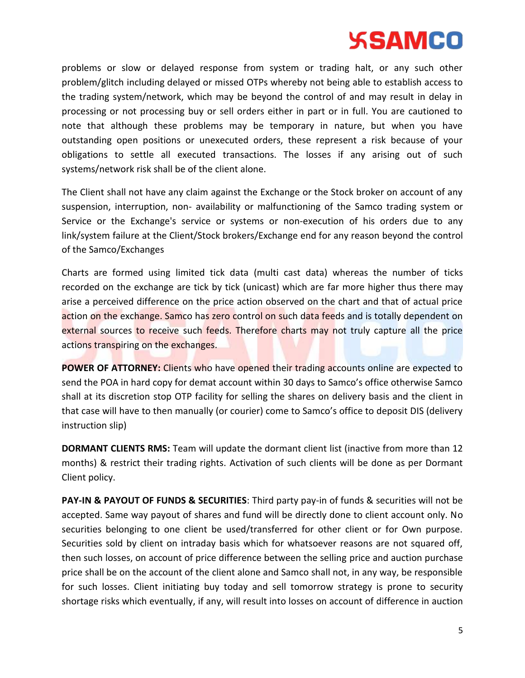problems or slow or delayed response from system or trading halt, or any such other problem/glitch including delayed or missed OTPs whereby not being able to establish access to the trading system/network, which may be beyond the control of and may result in delay in processing or not processing buy or sell orders either in part or in full. You are cautioned to note that although these problems may be temporary in nature, but when you have outstanding open positions or unexecuted orders, these represent a risk because of your obligations to settle all executed transactions. The losses if any arising out of such systems/network risk shall be of the client alone.

The Client shall not have any claim against the Exchange or the Stock broker on account of any suspension, interruption, non- availability or malfunctioning of the Samco trading system or Service or the Exchange's service or systems or non-execution of his orders due to any link/system failure at the Client/Stock brokers/Exchange end for any reason beyond the control of the Samco/Exchanges

Charts are formed using limited tick data (multi cast data) whereas the number of ticks recorded on the exchange are tick by tick (unicast) which are far more higher thus there may arise a perceived difference on the price action observed on the chart and that of actual price action on the exchange. Samco has zero control on such data feeds and is totally dependent on external sources to receive such feeds. Therefore charts may not truly capture all the price actions transpiring on the exchanges.

**POWER OF ATTORNEY:** Clients who have opened their trading accounts online are expected to send the POA in hard copy for demat account within 30 days to Samco's office otherwise Samco shall at its discretion stop OTP facility for selling the shares on delivery basis and the client in that case will have to then manually (or courier) come to Samco's office to deposit DIS (delivery instruction slip)

**DORMANT CLIENTS RMS:** Team will update the dormant client list (inactive from more than 12 months) & restrict their trading rights. Activation of such clients will be done as per Dormant Client policy.

**PAY-IN & PAYOUT OF FUNDS & SECURITIES**: Third party pay-in of funds & securities will not be accepted. Same way payout of shares and fund will be directly done to client account only. No securities belonging to one client be used/transferred for other client or for Own purpose. Securities sold by client on intraday basis which for whatsoever reasons are not squared off, then such losses, on account of price difference between the selling price and auction purchase price shall be on the account of the client alone and Samco shall not, in any way, be responsible for such losses. Client initiating buy today and sell tomorrow strategy is prone to security shortage risks which eventually, if any, will result into losses on account of difference in auction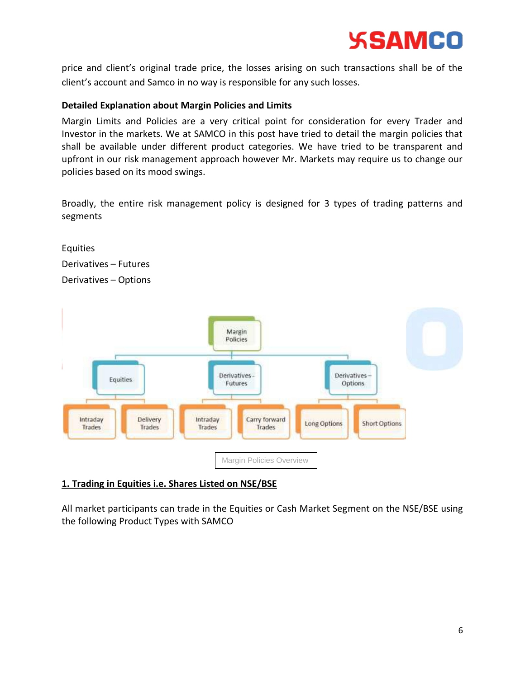

price and client's original trade price, the losses arising on such transactions shall be of the client's account and Samco in no way is responsible for any such losses.

#### **Detailed Explanation about Margin Policies and Limits**

Margin Limits and Policies are a very critical point for consideration for every Trader and Investor in the markets. We at SAMCO in this post have tried to detail the margin policies that shall be available under different product categories. We have tried to be transparent and upfront in our risk management approach however Mr. Markets may require us to change our policies based on its mood swings.

Broadly, the entire risk management policy is designed for 3 types of trading patterns and segments





## **1. Trading in Equities i.e. Shares Listed on NSE/BSE**

All market participants can trade in the Equities or Cash Market Segment on the NSE/BSE using the following Product Types with SAMCO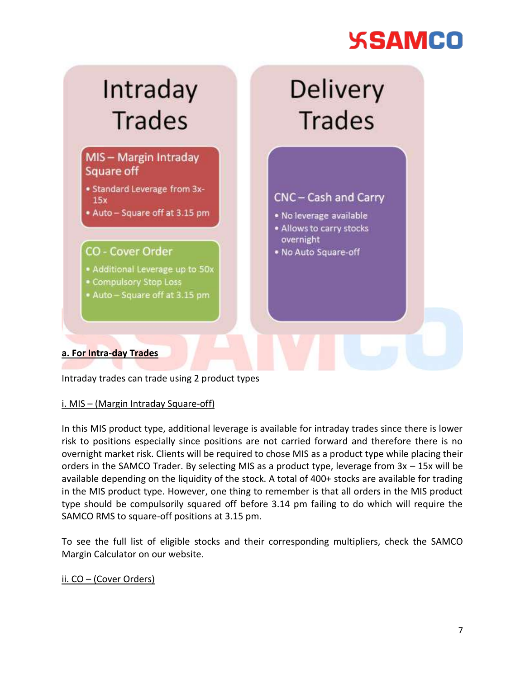

Intraday trades can trade using 2 product types

## i. MIS – (Margin Intraday Square-off)

In this MIS product type, additional leverage is available for intraday trades since there is lower risk to positions especially since positions are not carried forward and therefore there is no overnight market risk. Clients will be required to chose MIS as a product type while placing their orders in the SAMCO Trader. By selecting MIS as a product type, leverage from 3x – 15x will be available depending on the liquidity of the stock. A total of 400+ stocks are available for trading in the MIS product type. However, one thing to remember is that all orders in the MIS product type should be compulsorily squared off before 3.14 pm failing to do which will require the SAMCO RMS to square-off positions at 3.15 pm.

To see the full list of eligible stocks and their corresponding multipliers, check the SAMCO Margin Calculator on our website.

## ii. CO – (Cover Orders)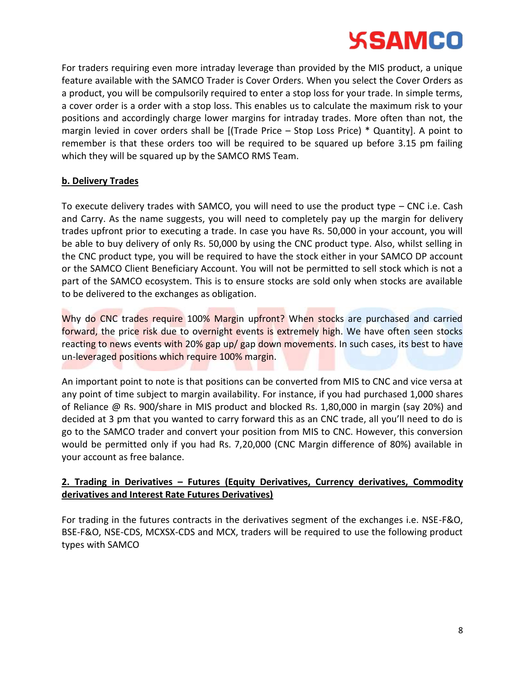

For traders requiring even more intraday leverage than provided by the MIS product, a unique feature available with the SAMCO Trader is Cover Orders. When you select the Cover Orders as a product, you will be compulsorily required to enter a stop loss for your trade. In simple terms, a cover order is a order with a stop loss. This enables us to calculate the maximum risk to your positions and accordingly charge lower margins for intraday trades. More often than not, the margin levied in cover orders shall be [(Trade Price – Stop Loss Price) \* Quantity]. A point to remember is that these orders too will be required to be squared up before 3.15 pm failing which they will be squared up by the SAMCO RMS Team.

### **b. Delivery Trades**

To execute delivery trades with SAMCO, you will need to use the product type – CNC i.e. Cash and Carry. As the name suggests, you will need to completely pay up the margin for delivery trades upfront prior to executing a trade. In case you have Rs. 50,000 in your account, you will be able to buy delivery of only Rs. 50,000 by using the CNC product type. Also, whilst selling in the CNC product type, you will be required to have the stock either in your SAMCO DP account or the SAMCO Client Beneficiary Account. You will not be permitted to sell stock which is not a part of the SAMCO ecosystem. This is to ensure stocks are sold only when stocks are available to be delivered to the exchanges as obligation.

Why do CNC trades require 100% Margin upfront? When stocks are purchased and carried forward, the price risk due to overnight events is extremely high. We have often seen stocks reacting to news events with 20% gap up/ gap down movements. In such cases, its best to have un-leveraged positions which require 100% margin.

An important point to note is that positions can be converted from MIS to CNC and vice versa at any point of time subject to margin availability. For instance, if you had purchased 1,000 shares of Reliance @ Rs. 900/share in MIS product and blocked Rs. 1,80,000 in margin (say 20%) and decided at 3 pm that you wanted to carry forward this as an CNC trade, all you'll need to do is go to the SAMCO trader and convert your position from MIS to CNC. However, this conversion would be permitted only if you had Rs. 7,20,000 (CNC Margin difference of 80%) available in your account as free balance.

# **2. Trading in Derivatives – Futures (Equity Derivatives, Currency derivatives, Commodity derivatives and Interest Rate Futures Derivatives)**

For trading in the futures contracts in the derivatives segment of the exchanges i.e. NSE-F&O, BSE-F&O, NSE-CDS, MCXSX-CDS and MCX, traders will be required to use the following product types with SAMCO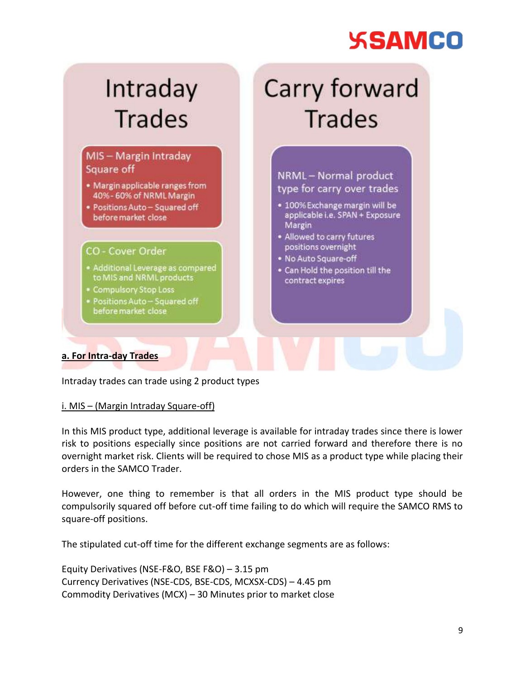#### Carry forward Intraday **Trades Trades** MIS - Margin Intraday Square off NRML-Normal product · Margin applicable ranges from type for carry over trades 40% - 60% of NRML Margin · 100% Exchange margin will be · Positions Auto - Squared off applicable i.e. SPAN + Exposure before market close Margin . Allowed to carry futures positions overnight CO - Cover Order . No Auto Square-off · Additional Leverage as compared . Can Hold the position till the to MIS and NRML products contract expires Compulsory Stop Loss Positions Auto - Squared off before market close **a. For Intra-day Trades**

Intraday trades can trade using 2 product types

## i. MIS – (Margin Intraday Square-off)

In this MIS product type, additional leverage is available for intraday trades since there is lower risk to positions especially since positions are not carried forward and therefore there is no overnight market risk. Clients will be required to chose MIS as a product type while placing their orders in the SAMCO Trader.

However, one thing to remember is that all orders in the MIS product type should be compulsorily squared off before cut-off time failing to do which will require the SAMCO RMS to square-off positions.

The stipulated cut-off time for the different exchange segments are as follows:

Equity Derivatives (NSE-F&O, BSE F&O) – 3.15 pm Currency Derivatives (NSE-CDS, BSE-CDS, MCXSX-CDS) – 4.45 pm Commodity Derivatives (MCX) – 30 Minutes prior to market close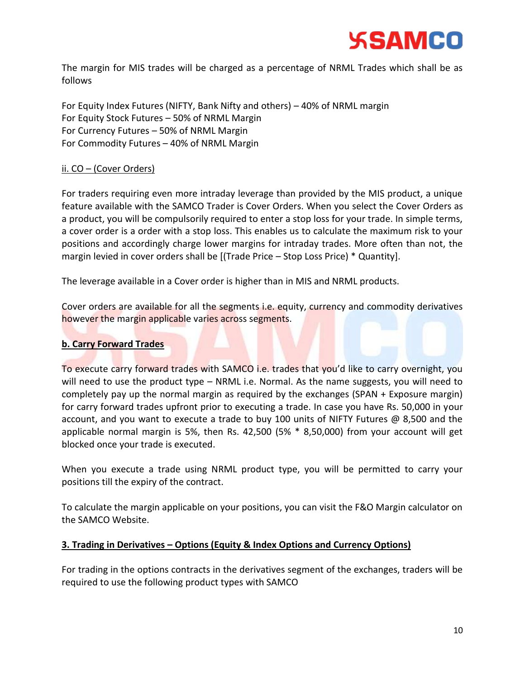

The margin for MIS trades will be charged as a percentage of NRML Trades which shall be as follows

For Equity Index Futures (NIFTY, Bank Nifty and others) – 40% of NRML margin For Equity Stock Futures – 50% of NRML Margin For Currency Futures – 50% of NRML Margin For Commodity Futures – 40% of NRML Margin

### ii. CO – (Cover Orders)

For traders requiring even more intraday leverage than provided by the MIS product, a unique feature available with the SAMCO Trader is Cover Orders. When you select the Cover Orders as a product, you will be compulsorily required to enter a stop loss for your trade. In simple terms, a cover order is a order with a stop loss. This enables us to calculate the maximum risk to your positions and accordingly charge lower margins for intraday trades. More often than not, the margin levied in cover orders shall be [(Trade Price – Stop Loss Price) \* Quantity].

The leverage available in a Cover order is higher than in MIS and NRML products.

Cover orders are available for all the segments i.e. equity, currency and commodity derivatives however the margin applicable varies across segments.

#### **b. Carry Forward Trades**

To execute carry forward trades with SAMCO i.e. trades that you'd like to carry overnight, you will need to use the product type – NRML i.e. Normal. As the name suggests, you will need to completely pay up the normal margin as required by the exchanges (SPAN + Exposure margin) for carry forward trades upfront prior to executing a trade. In case you have Rs. 50,000 in your account, and you want to execute a trade to buy 100 units of NIFTY Futures @ 8,500 and the applicable normal margin is 5%, then Rs. 42,500 (5% \* 8,50,000) from your account will get blocked once your trade is executed.

When you execute a trade using NRML product type, you will be permitted to carry your positions till the expiry of the contract.

To calculate the margin applicable on your positions, you can visit the F&O Margin calculator on the SAMCO Website.

#### **3. Trading in Derivatives – Options (Equity & Index Options and Currency Options)**

For trading in the options contracts in the derivatives segment of the exchanges, traders will be required to use the following product types with SAMCO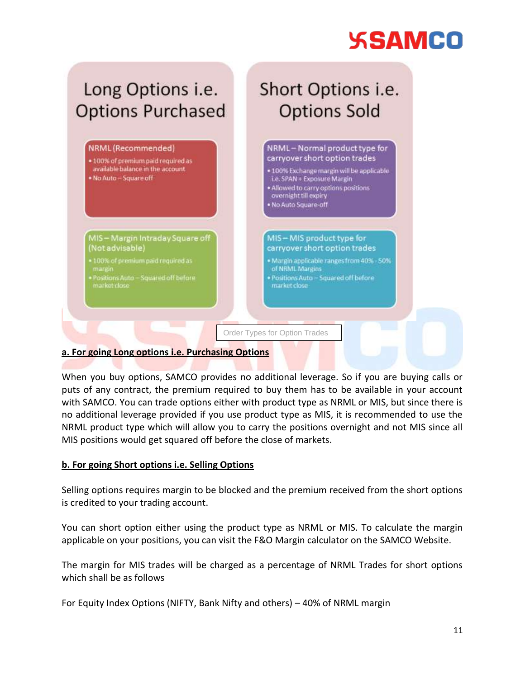

## **a. For going Long options i.e. Purchasing Options**

When you buy options, SAMCO provides no additional leverage. So if you are buying calls or puts of any contract, the premium required to buy them has to be available in your account with SAMCO. You can trade options either with product type as NRML or MIS, but since there is no additional leverage provided if you use product type as MIS, it is recommended to use the NRML product type which will allow you to carry the positions overnight and not MIS since all MIS positions would get squared off before the close of markets.

## **b. For going Short options i.e. Selling Options**

Selling options requires margin to be blocked and the premium received from the short options is credited to your trading account.

You can short option either using the product type as NRML or MIS. To calculate the margin applicable on your positions, you can visit the F&O Margin calculator on the SAMCO Website.

The margin for MIS trades will be charged as a percentage of NRML Trades for short options which shall be as follows

For Equity Index Options (NIFTY, Bank Nifty and others) – 40% of NRML margin